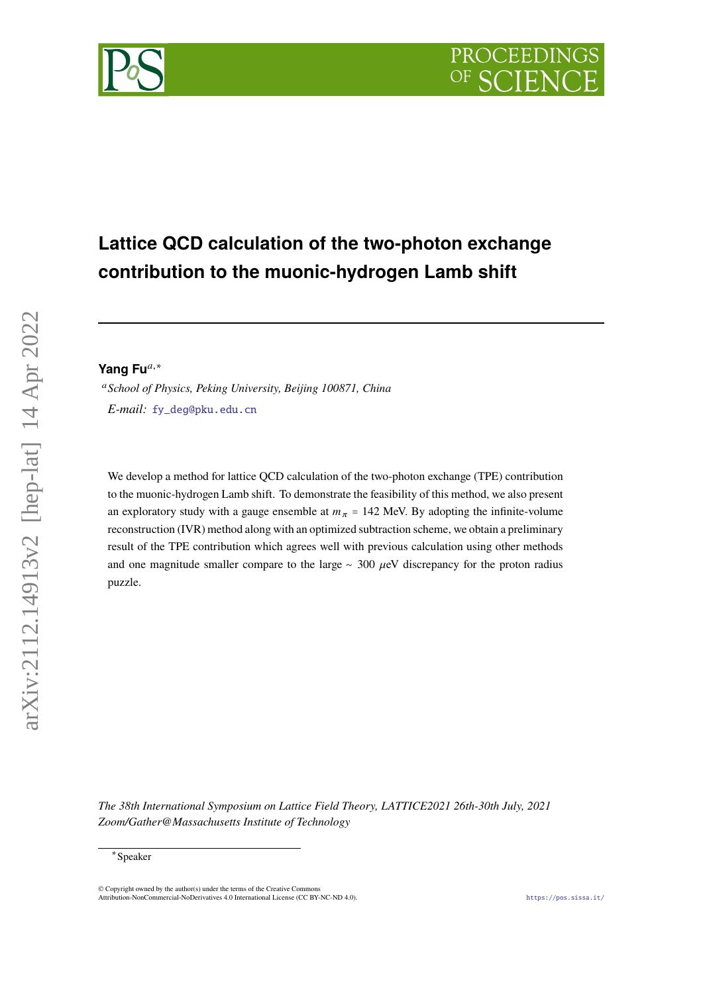# **PROCEEDING**



## **Lattice QCD calculation of the two-photon exchange contribution to the muonic-hydrogen Lamb shift**

Yang Fu<sup>a,∗</sup>

 *School of Physics, Peking University, Beijing 100871, China E-mail:* [fy\\_deg@pku.edu.cn](mailto:fy_deg@pku.edu.cn)

We develop a method for lattice QCD calculation of the two-photon exchange (TPE) contribution to the muonic-hydrogen Lamb shift. To demonstrate the feasibility of this method, we also present an exploratory study with a gauge ensemble at  $m_{\pi}$  = 142 MeV. By adopting the infinite-volume reconstruction (IVR) method along with an optimized subtraction scheme, we obtain a preliminary result of the TPE contribution which agrees well with previous calculation using other methods and one magnitude smaller compare to the large  $\sim$  300  $\mu$ eV discrepancy for the proton radius puzzle.

*The 38th International Symposium on Lattice Field Theory, LATTICE2021 26th-30th July, 2021 Zoom/Gather@Massachusetts Institute of Technology*

arXiv:2112.14913v2 [hep-lat] 14 Apr 2022

arXiv:2112.14913v2 [hep-lat] 14 Apr 2022

<sup>∗</sup> Speaker

 $\odot$  Copyright owned by the author(s) under the terms of the Creative Common Attribution-NonCommercial-NoDerivatives 4.0 International License (CC BY-NC-ND 4.0). <https://pos.sissa.it/>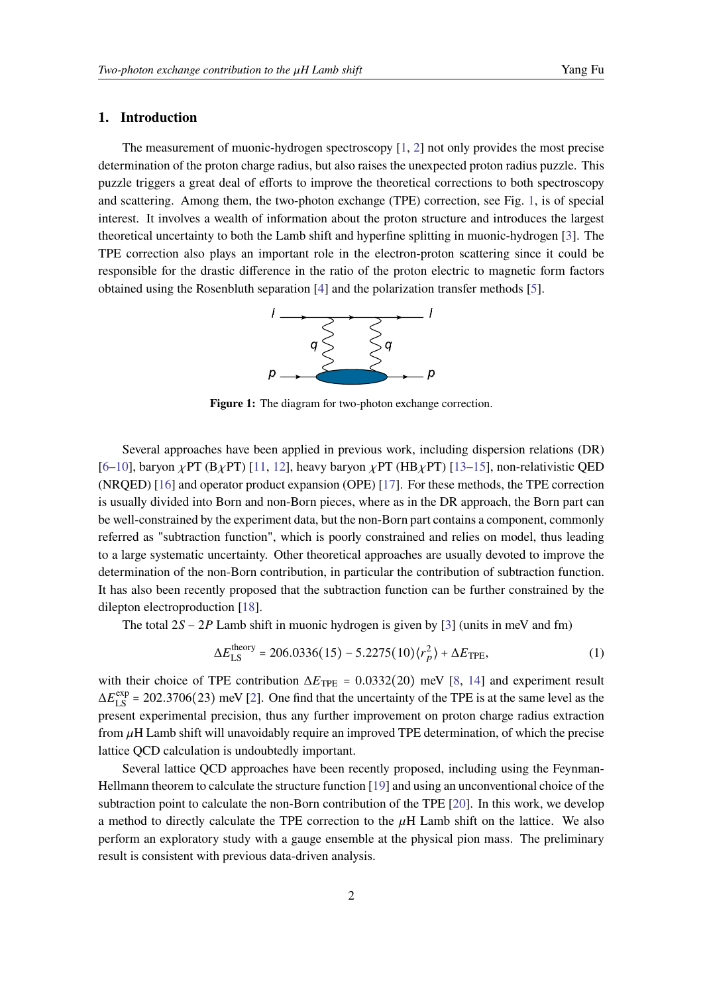#### **1. Introduction**

The measurement of muonic-hydrogen spectroscopy [\[1,](#page-8-0) [2\]](#page-8-1) not only provides the most precise determination of the proton charge radius, but also raises the unexpected proton radius puzzle. This puzzle triggers a great deal of efforts to improve the theoretical corrections to both spectroscopy and scattering. Among them, the two-photon exchange (TPE) correction, see Fig. [1,](#page-1-0) is of special interest. It involves a wealth of information about the proton structure and introduces the largest theoretical uncertainty to both the Lamb shift and hyperfine splitting in muonic-hydrogen [\[3\]](#page-8-2). The TPE correction also plays an important role in the electron-proton scattering since it could be responsible for the drastic difference in the ratio of the proton electric to magnetic form factors obtained using the Rosenbluth separation [\[4\]](#page-8-3) and the polarization transfer methods [\[5\]](#page-8-4).



Figure 1: The diagram for two-photon exchange correction.

<span id="page-1-0"></span>Several approaches have been applied in previous work, including dispersion relations (DR)  $[6–10]$  $[6–10]$ , baryon  $\chi$ PT (B $\chi$ PT) [\[11,](#page-9-1) [12\]](#page-9-2), heavy baryon  $\chi$ PT (HB $\chi$ PT) [\[13–](#page-9-3)[15\]](#page-9-4), non-relativistic QED (NRQED) [\[16\]](#page-9-5) and operator product expansion (OPE) [\[17\]](#page-9-6). For these methods, the TPE correction is usually divided into Born and non-Born pieces, where as in the DR approach, the Born part can be well-constrained by the experiment data, but the non-Born part contains a component, commonly referred as "subtraction function", which is poorly constrained and relies on model, thus leading to a large systematic uncertainty. Other theoretical approaches are usually devoted to improve the determination of the non-Born contribution, in particular the contribution of subtraction function. It has also been recently proposed that the subtraction function can be further constrained by the dilepton electroproduction [\[18\]](#page-9-7).

The total  $2S - 2P$  Lamb shift in muonic hydrogen is given by [\[3\]](#page-8-2) (units in meV and fm)

<span id="page-1-1"></span>
$$
\Delta E_{LS}^{\text{theory}} = 206.0336(15) - 5.2275(10)\langle r_p^2 \rangle + \Delta E_{\text{TPE}},\tag{1}
$$

with their choice of TPE contribution  $\Delta E_{\text{TPE}} = 0.0332(20)$  meV [\[8,](#page-9-8) [14\]](#page-9-9) and experiment result  $\Delta E_{LS}^{\text{exp}}$  = 202.3706(23) meV [\[2\]](#page-8-1). One find that the uncertainty of the TPE is at the same level as the present experimental precision, thus any further improvement on proton charge radius extraction from  $\mu$ H Lamb shift will unavoidably require an improved TPE determination, of which the precise lattice QCD calculation is undoubtedly important.

Several lattice QCD approaches have been recently proposed, including using the Feynman-Hellmann theorem to calculate the structure function [\[19\]](#page-9-10) and using an unconventional choice of the subtraction point to calculate the non-Born contribution of the TPE [\[20\]](#page-9-11). In this work, we develop a method to directly calculate the TPE correction to the  $\mu$ H Lamb shift on the lattice. We also perform an exploratory study with a gauge ensemble at the physical pion mass. The preliminary result is consistent with previous data-driven analysis.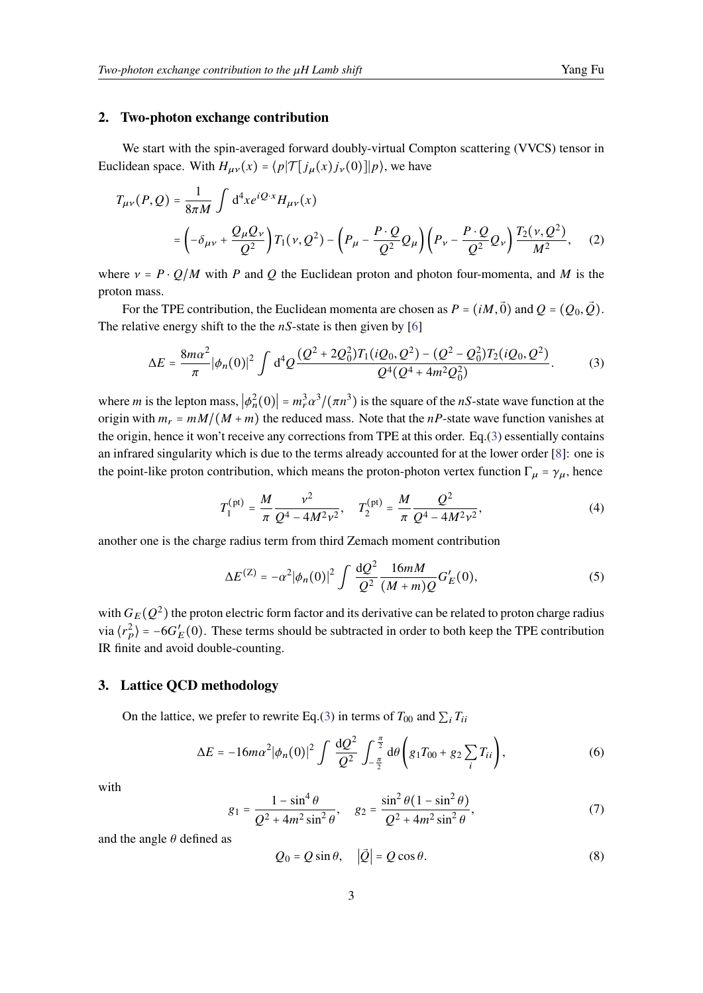#### **2. Two-photon exchange contribution**

We start with the spin-averaged forward doubly-virtual Compton scattering (VVCS) tensor in Euclidean space. With  $H_{\mu\nu}(x) = \langle p| \mathcal{T} [j_{\mu}(x) j_{\nu}(0)]|p\rangle$ , we have

$$
T_{\mu\nu}(P,Q) = \frac{1}{8\pi M} \int d^4x e^{iQ \cdot x} H_{\mu\nu}(x)
$$
  
=  $\left( -\delta_{\mu\nu} + \frac{Q_{\mu}Q_{\nu}}{Q^2} \right) T_1(\nu, Q^2) - \left( P_{\mu} - \frac{P \cdot Q}{Q^2} Q_{\mu} \right) \left( P_{\nu} - \frac{P \cdot Q}{Q^2} Q_{\nu} \right) \frac{T_2(\nu, Q^2)}{M^2},$  (2)

where  $v = P \cdot Q/M$  with P and Q the Euclidean proton and photon four-momenta, and M is the proton mass.

For the TPE contribution, the Euclidean momenta are chosen as  $P = (iM, \vec{0})$  and  $Q = (Q_0, \vec{Q})$ . The relative energy shift to the the  $nS$ -state is then given by [\[6\]](#page-8-5)

$$
\Delta E = \frac{8m\alpha^2}{\pi} |\phi_n(0)|^2 \int d^4 Q \frac{(Q^2 + 2Q_0^2)T_1(iQ_0, Q^2) - (Q^2 - Q_0^2)T_2(iQ_0, Q^2)}{Q^4(Q^4 + 4m^2Q_0^2)}.
$$
 (3)

where *m* is the lepton mass,  $|\phi_n^2(0)| = m_r^3 \alpha^3/(\pi n^3)$  is the square of the *nS*-state wave function at the origin with  $m_r = mM/(M + m)$  the reduced mass. Note that the nP-state wave function vanishes at the origin, hence it won't receive any corrections from TPE at this order. Eq.[\(3\)](#page-2-0) essentially contains an infrared singularity which is due to the terms already accounted for at the lower order [\[8\]](#page-9-8): one is the point-like proton contribution, which means the proton-photon vertex function  $\Gamma_{\mu} = \gamma_{\mu}$ , hence

<span id="page-2-2"></span><span id="page-2-1"></span><span id="page-2-0"></span>
$$
T_1^{\text{(pt)}} = \frac{M}{\pi} \frac{v^2}{Q^4 - 4M^2 v^2}, \quad T_2^{\text{(pt)}} = \frac{M}{\pi} \frac{Q^2}{Q^4 - 4M^2 v^2},\tag{4}
$$

another one is the charge radius term from third Zemach moment contribution

<span id="page-2-4"></span>
$$
\Delta E^{(Z)} = -\alpha^2 |\phi_n(0)|^2 \int \frac{\mathrm{d}Q^2}{Q^2} \frac{16mM}{(M+m)Q} G'_E(0),\tag{5}
$$

with  $G_E(Q^2)$  the proton electric form factor and its derivative can be related to proton charge radius via  $\langle r_p^2 \rangle = -6G_E'(0)$ . These terms should be subtracted in order to both keep the TPE contribution IR finite and avoid double-counting.

#### **3. Lattice QCD methodology**

On the lattice, we prefer to rewrite Eq.[\(3\)](#page-2-0) in terms of  $T_{00}$  and  $\sum_i T_{ii}$ 

<span id="page-2-3"></span>
$$
\Delta E = -16m\alpha^2 |\phi_n(0)|^2 \int \frac{\mathrm{d}Q^2}{Q^2} \int_{-\frac{\pi}{2}}^{\frac{\pi}{2}} \mathrm{d}\theta \left( g_1 T_{00} + g_2 \sum_i T_{ii} \right), \tag{6}
$$

with

$$
g_1 = \frac{1 - \sin^4 \theta}{Q^2 + 4m^2 \sin^2 \theta}, \quad g_2 = \frac{\sin^2 \theta (1 - \sin^2 \theta)}{Q^2 + 4m^2 \sin^2 \theta},
$$
(7)

and the angle  $\theta$  defined as

<span id="page-2-5"></span>
$$
Q_0 = Q \sin \theta, \quad |\vec{Q}| = Q \cos \theta. \tag{8}
$$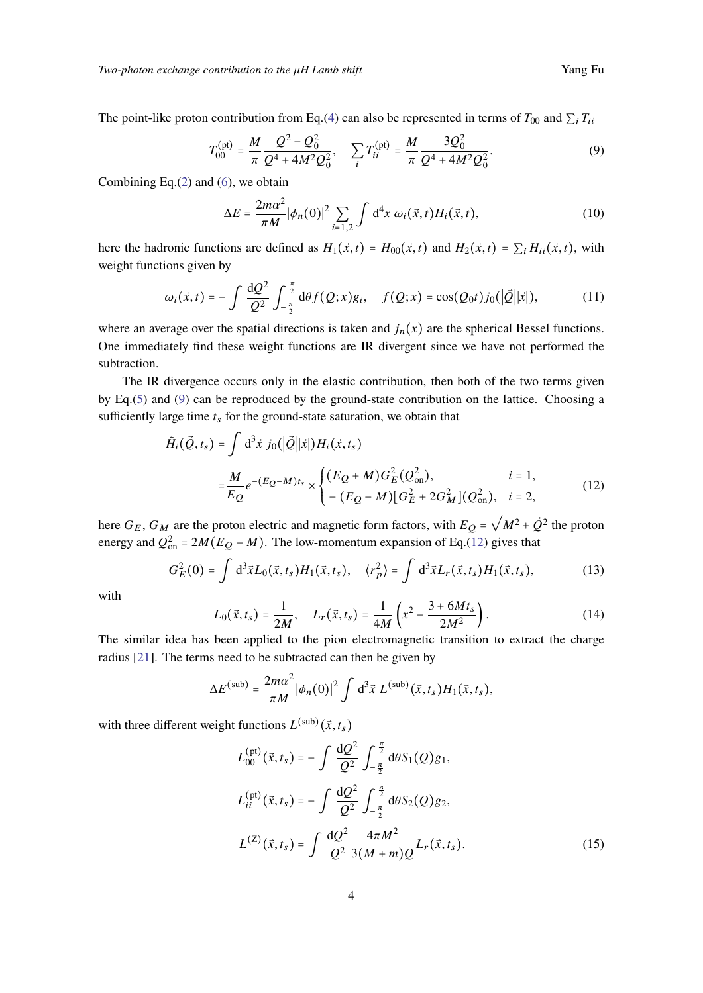<span id="page-3-0"></span>
$$
T_{00}^{(\text{pt})} = \frac{M}{\pi} \frac{Q^2 - Q_0^2}{Q^4 + 4M^2 Q_0^2}, \quad \sum_i T_{ii}^{(\text{pt})} = \frac{M}{\pi} \frac{3Q_0^2}{Q^4 + 4M^2 Q_0^2}.
$$
 (9)

Combining Eq. $(2)$  and  $(6)$ , we obtain

$$
\Delta E = \frac{2m\alpha^2}{\pi M} |\phi_n(0)|^2 \sum_{i=1,2} \int d^4x \, \omega_i(\vec{x}, t) H_i(\vec{x}, t), \tag{10}
$$

here the hadronic functions are defined as  $H_1(\vec{x}, t) = H_{00}(\vec{x}, t)$  and  $H_2(\vec{x}, t) = \sum_i H_{ii}(\vec{x}, t)$ , with weight functions given by

$$
\omega_i(\vec{x},t) = -\int \frac{\mathrm{d}Q^2}{Q^2} \int_{-\frac{\pi}{2}}^{\frac{\pi}{2}} \mathrm{d}\theta f(Q;x)g_i, \quad f(Q;x) = \cos(Q_0 t) j_0(|\vec{Q}||\vec{x}|), \tag{11}
$$

where an average over the spatial directions is taken and  $j_n(x)$  are the spherical Bessel functions. One immediately find these weight functions are IR divergent since we have not performed the subtraction.

The IR divergence occurs only in the elastic contribution, then both of the two terms given by Eq.[\(5\)](#page-2-4) and [\(9\)](#page-3-0) can be reproduced by the ground-state contribution on the lattice. Choosing a sufficiently large time  $t_s$  for the ground-state saturation, we obtain that

$$
\tilde{H}_{i}(\vec{Q},t_{s}) = \int d^{3}\vec{x} \; j_{0}(|\vec{Q}||\vec{x}|)H_{i}(\vec{x},t_{s})
$$
\n
$$
= \frac{M}{E_{Q}} e^{-(E_{Q}-M)t_{s}} \times \begin{cases}\n(E_{Q}+M)G_{E}^{2}(Q_{\text{on}}^{2}), & i=1, \\
-(E_{Q}-M)[G_{E}^{2}+2G_{M}^{2}](Q_{\text{on}}^{2}), & i=2,\n\end{cases}
$$
\n(12)

here  $G_E$ ,  $G_M$  are the proton electric and magnetic form factors, with  $E_Q$  =  $\sqrt{M^2 + \vec{Q}^2}$  the proton energy and  $Q_{\text{on}}^2 = 2M(E_Q - M)$ . The low-momentum expansion of Eq.[\(12\)](#page-3-1) gives that

$$
G_E^2(0) = \int d^3 \vec{x} L_0(\vec{x}, t_s) H_1(\vec{x}, t_s), \quad \langle r_p^2 \rangle = \int d^3 \vec{x} L_r(\vec{x}, t_s) H_1(\vec{x}, t_s), \tag{13}
$$

with

<span id="page-3-1"></span>
$$
L_0(\vec{x}, t_s) = \frac{1}{2M}, \quad L_r(\vec{x}, t_s) = \frac{1}{4M} \left( x^2 - \frac{3 + 6Mt_s}{2M^2} \right). \tag{14}
$$

The similar idea has been applied to the pion electromagnetic transition to extract the charge radius [\[21\]](#page-9-12). The terms need to be subtracted can then be given by

$$
\Delta E^{\text{(sub)}} = \frac{2m\alpha^2}{\pi M} |\phi_n(0)|^2 \int d^3\vec{x} L^{\text{(sub)}}(\vec{x},t_s) H_1(\vec{x},t_s),
$$

with three different weight functions  $L^{(\text{sub})}(\vec{x}, t_s)$ 

$$
L_{00}^{(\text{pt})}(\vec{x},t_s) = -\int \frac{\mathrm{d}Q^2}{Q^2} \int_{-\frac{\pi}{2}}^{\frac{\pi}{2}} \mathrm{d}\theta S_1(Q)g_1,
$$
  
\n
$$
L_{ii}^{(\text{pt})}(\vec{x},t_s) = -\int \frac{\mathrm{d}Q^2}{Q^2} \int_{-\frac{\pi}{2}}^{\frac{\pi}{2}} \mathrm{d}\theta S_2(Q)g_2,
$$
  
\n
$$
L^{(\text{Z})}(\vec{x},t_s) = \int \frac{\mathrm{d}Q^2}{Q^2} \frac{4\pi M^2}{3(M+m)Q} L_r(\vec{x},t_s).
$$
 (15)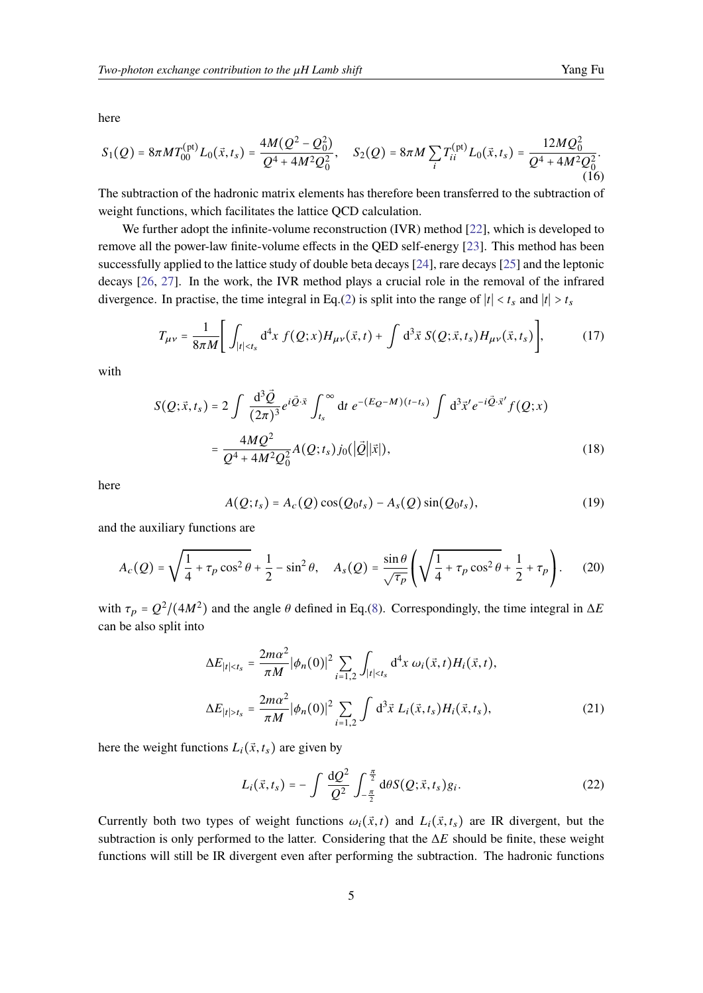here

$$
S_1(Q) = 8\pi M T_{00}^{(\text{pt})} L_0(\vec{x}, t_s) = \frac{4M(Q^2 - Q_0^2)}{Q^4 + 4M^2Q_0^2}, \quad S_2(Q) = 8\pi M \sum_i T_{ii}^{(\text{pt})} L_0(\vec{x}, t_s) = \frac{12MQ_0^2}{Q^4 + 4M^2Q_0^2}.
$$
\n(16)

The subtraction of the hadronic matrix elements has therefore been transferred to the subtraction of weight functions, which facilitates the lattice QCD calculation.

We further adopt the infinite-volume reconstruction (IVR) method [\[22\]](#page-10-0), which is developed to remove all the power-law finite-volume effects in the QED self-energy [\[23\]](#page-10-1). This method has been successfully applied to the lattice study of double beta decays [\[24\]](#page-10-2), rare decays [\[25\]](#page-10-3) and the leptonic decays [\[26,](#page-10-4) [27\]](#page-10-5). In the work, the IVR method plays a crucial role in the removal of the infrared divergence. In practise, the time integral in Eq.[\(2\)](#page-2-2) is split into the range of  $|t| < t_s$  and  $|t| > t_s$ 

<span id="page-4-0"></span>
$$
T_{\mu\nu} = \frac{1}{8\pi M} \Bigg[ \int_{|t| < t_s} d^4x \, f(Q; x) H_{\mu\nu}(\vec{x}, t) + \int d^3\vec{x} \, S(Q; \vec{x}, t_s) H_{\mu\nu}(\vec{x}, t_s) \Bigg],\tag{17}
$$

with

$$
S(Q; \vec{x}, t_s) = 2 \int \frac{d^3 \vec{Q}}{(2\pi)^3} e^{i\vec{Q} \cdot \vec{x}} \int_{t_s}^{\infty} dt \ e^{-(E_Q - M)(t - t_s)} \int d^3 \vec{x}' e^{-i\vec{Q} \cdot \vec{x}'} f(Q; x)
$$
  

$$
= \frac{4MQ^2}{Q^4 + 4M^2 Q_0^2} A(Q; t_s) j_0(|\vec{Q}||\vec{x}|),
$$
 (18)

here

$$
A(Q; t_s) = A_c(Q)\cos(Q_0t_s) - A_s(Q)\sin(Q_0t_s), \qquad (19)
$$

and the auxiliary functions are

$$
A_c(Q) = \sqrt{\frac{1}{4} + \tau_p \cos^2 \theta} + \frac{1}{2} - \sin^2 \theta, \quad A_s(Q) = \frac{\sin \theta}{\sqrt{\tau_p}} \left( \sqrt{\frac{1}{4} + \tau_p \cos^2 \theta} + \frac{1}{2} + \tau_p \right). \tag{20}
$$

with  $\tau_p = Q^2/(4M^2)$  and the angle  $\theta$  defined in Eq.[\(8\)](#page-2-5). Correspondingly, the time integral in  $\Delta E$ can be also split into

$$
\Delta E_{|t| < t_s} = \frac{2m\alpha^2}{\pi M} |\phi_n(0)|^2 \sum_{i=1,2} \int_{|t| < t_s} d^4 x \, \omega_i(\vec{x}, t) H_i(\vec{x}, t),
$$
\n
$$
\Delta E_{|t| > t_s} = \frac{2m\alpha^2}{\pi M} |\phi_n(0)|^2 \sum_{i=1,2} \int d^3 \vec{x} \, L_i(\vec{x}, t_s) H_i(\vec{x}, t_s), \tag{21}
$$

here the weight functions  $L_i(\vec{x}, t_s)$  are given by

<span id="page-4-1"></span>
$$
L_i(\vec{x}, t_s) = -\int \frac{\mathrm{d}Q^2}{Q^2} \int_{-\frac{\pi}{2}}^{\frac{\pi}{2}} \mathrm{d}\theta S(Q; \vec{x}, t_s) g_i. \tag{22}
$$

Currently both two types of weight functions  $\omega_i(\vec{x}, t)$  and  $L_i(\vec{x}, t_s)$  are IR divergent, but the subtraction is only performed to the latter. Considering that the  $\Delta E$  should be finite, these weight functions will still be IR divergent even after performing the subtraction. The hadronic functions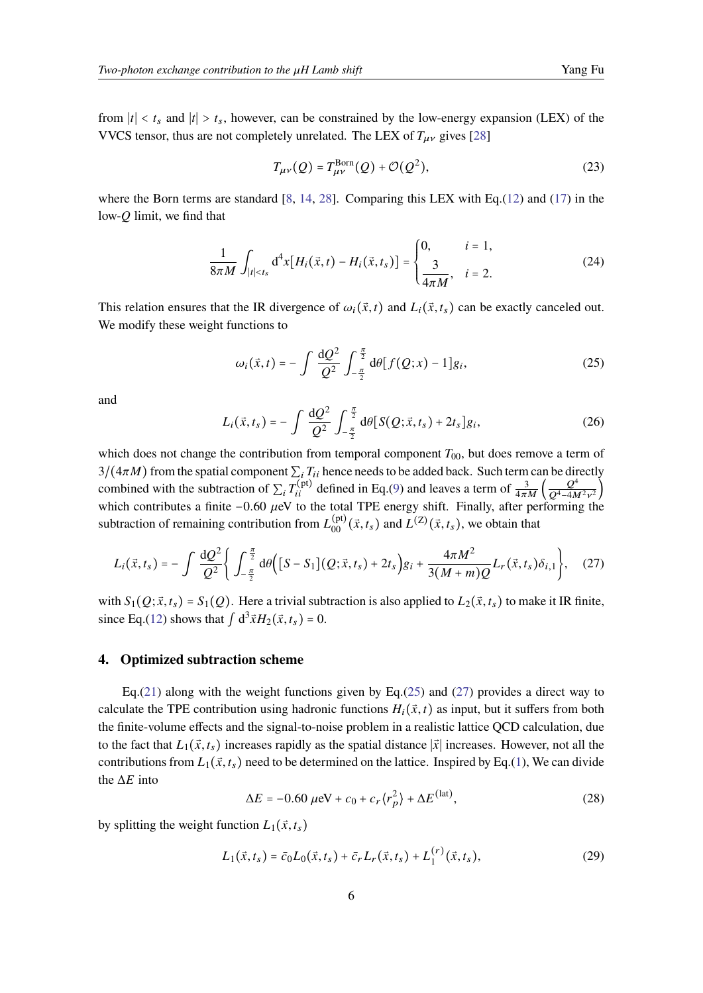from  $|t| < t_s$  and  $|t| > t_s$ , however, can be constrained by the low-energy expansion (LEX) of the VVCS tensor, thus are not completely unrelated. The LEX of  $T_{\mu\nu}$  gives [\[28\]](#page-10-6)

$$
T_{\mu\nu}(Q) = T_{\mu\nu}^{\text{Born}}(Q) + \mathcal{O}(Q^2),\tag{23}
$$

where the Born terms are standard  $[8, 14, 28]$  $[8, 14, 28]$  $[8, 14, 28]$  $[8, 14, 28]$  $[8, 14, 28]$ . Comparing this LEX with Eq.[\(12\)](#page-3-1) and [\(17\)](#page-4-0) in the low- $O$  limit, we find that

$$
\frac{1}{8\pi M} \int_{|t| < t_s} \mathrm{d}^4 x \big[ H_i(\vec{x}, t) - H_i(\vec{x}, t_s) \big] = \begin{cases} 0, & i = 1, \\ \frac{3}{4\pi M}, & i = 2. \end{cases} \tag{24}
$$

This relation ensures that the IR divergence of  $\omega_i(\vec{x}, t)$  and  $L_i(\vec{x}, t_s)$  can be exactly canceled out. We modify these weight functions to

<span id="page-5-0"></span>
$$
\omega_i(\vec{x},t) = -\int \frac{\mathrm{d}Q^2}{Q^2} \int_{-\frac{\pi}{2}}^{\frac{\pi}{2}} \mathrm{d}\theta [f(Q;x) - 1] g_i, \tag{25}
$$

and

$$
L_i(\vec{x}, t_s) = -\int \frac{\mathrm{d}Q^2}{Q^2} \int_{-\frac{\pi}{2}}^{\frac{\pi}{2}} \mathrm{d}\theta \big[ S(Q; \vec{x}, t_s) + 2t_s \big] g_i, \tag{26}
$$

which does not change the contribution from temporal component  $T_{00}$ , but does remove a term of  $3/(4\pi M)$  from the spatial component  $\sum_i T_{ii}$  hence needs to be added back. Such term can be directly combined with the subtraction of  $\sum_i T_{ii}^{(\text{pt})}$  defined in Eq.[\(9\)](#page-3-0) and leaves a term of  $\frac{3}{4\pi M} \left( \frac{Q^4}{Q^4 - 4M} \right)$  $\frac{Q}{Q^4 - 4M^2v^2}$ which contributes a finite –0.60  $\mu$ eV to the total TPE energy shift. Finally, after performing the subtraction of remaining contribution from  $L_{00}^{(\text{pt})}(\vec{x}, t_s)$  and  $L^{(Z)}(\vec{x}, t_s)$ , we obtain that

<span id="page-5-1"></span>
$$
L_i(\vec{x}, t_s) = -\int \frac{\mathrm{d}Q^2}{Q^2} \Bigg\{ \int_{-\frac{\pi}{2}}^{\frac{\pi}{2}} \mathrm{d}\theta \Big( [S - S_1](Q; \vec{x}, t_s) + 2t_s \Big) g_i + \frac{4\pi M^2}{3(M+m)Q} L_r(\vec{x}, t_s) \delta_{i,1} \Bigg\}, \quad (27)
$$

with  $S_1(Q; \vec{x}, t_s) = S_1(Q)$ . Here a trivial subtraction is also applied to  $L_2(\vec{x}, t_s)$  to make it IR finite, since Eq.[\(12\)](#page-3-1) shows that  $\int d^3 \vec{x} H_2(\vec{x}, t_s) = 0$ .

#### **4. Optimized subtraction scheme**

Eq.[\(21\)](#page-4-1) along with the weight functions given by Eq.[\(25\)](#page-5-0) and [\(27\)](#page-5-1) provides a direct way to calculate the TPE contribution using hadronic functions  $H_i(\vec{x}, t)$  as input, but it suffers from both the finite-volume effects and the signal-to-noise problem in a realistic lattice QCD calculation, due to the fact that  $L_1(\vec{x}, t_s)$  increases rapidly as the spatial distance  $|\vec{x}|$  increases. However, not all the contributions from  $L_1(\vec{x}, t_s)$  need to be determined on the lattice. Inspired by Eq.[\(1\)](#page-1-1), We can divide the  $\Delta E$  into

$$
\Delta E = -0.60 \,\mu\text{eV} + c_0 + c_r \langle r_p^2 \rangle + \Delta E^{\text{(lat)}},\tag{28}
$$

by splitting the weight function  $L_1(\vec{x}, t_s)$ 

$$
L_1(\vec{x}, t_s) = \bar{c}_0 L_0(\vec{x}, t_s) + \bar{c}_r L_r(\vec{x}, t_s) + L_1^{(r)}(\vec{x}, t_s),
$$
\n(29)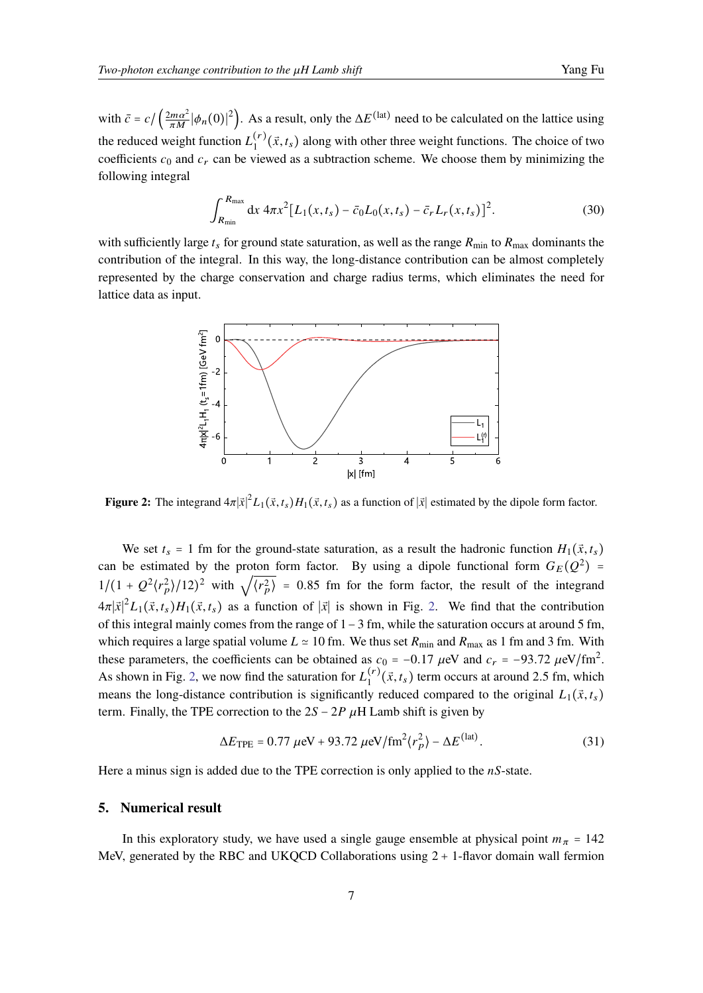with  $\bar{c} = c / (\frac{2m\alpha^2}{\pi M} |\phi_n(0)|^2)$ . As a result, only the  $\Delta E^{(\text{lat})}$  need to be calculated on the lattice using the reduced weight function  $L_1^{(r)}(\vec{x}, t_s)$  along with other three weight functions. The choice of two coefficients  $c_0$  and  $c_r$  can be viewed as a subtraction scheme. We choose them by minimizing the following integral

$$
\int_{R_{\min}}^{R_{\max}} dx \, 4\pi x^2 [L_1(x, t_s) - \bar{c}_0 L_0(x, t_s) - \bar{c}_r L_r(x, t_s)]^2. \tag{30}
$$

<span id="page-6-0"></span>with sufficiently large  $t_s$  for ground state saturation, as well as the range  $R_{\text{min}}$  to  $R_{\text{max}}$  dominants the contribution of the integral. In this way, the long-distance contribution can be almost completely represented by the charge conservation and charge radius terms, which eliminates the need for lattice data as input.



**Figure 2:** The integrand  $4\pi |\vec{x}|^2 L_1(\vec{x}, t_s) H_1(\vec{x}, t_s)$  as a function of  $|\vec{x}|$  estimated by the dipole form factor.

We set  $t_s = 1$  fm for the ground-state saturation, as a result the hadronic function  $H_1(\vec{x}, t_s)$ can be estimated by the proton form factor. By using a dipole functional form  $G_E(Q^2)$  = can be estimated by the proton form factor. By using a upone functional form  $G_E(Q)$  –<br> $1/(1 + Q^2 \langle r_p^2 \rangle / 12)^2$  with  $\sqrt{\langle r_p^2 \rangle} = 0.85$  fm for the form factor, the result of the integrand  $4\pi |\vec{x}|^2 L_1(\vec{x}, t_s) H_1(\vec{x}, t_s)$  as a function of  $|\vec{x}|$  is shown in Fig. [2.](#page-6-0) We find that the contribution of this integral mainly comes from the range of 1−3 fm, while the saturation occurs at around 5 fm, which requires a large spatial volume  $L \approx 10$  fm. We thus set  $R_{\text{min}}$  and  $R_{\text{max}}$  as 1 fm and 3 fm. With these parameters, the coefficients can be obtained as  $c_0 = -0.17 \mu\text{eV}$  and  $c_r = -93.72 \mu\text{eV}/\text{fm}^2$ . As shown in Fig. [2,](#page-6-0) we now find the saturation for  $L_1^{(r)}(\vec{x}, t_s)$  term occurs at around 2.5 fm, which means the long-distance contribution is significantly reduced compared to the original  $L_1(\vec{x}, t_s)$ term. Finally, the TPE correction to the  $2S - 2P \mu H$  Lamb shift is given by

$$
\Delta E_{\text{TPE}} = 0.77 \ \mu\text{eV} + 93.72 \ \mu\text{eV/fm}^2 \langle r_p^2 \rangle - \Delta E^{\text{(lat)}}. \tag{31}
$$

Here a minus sign is added due to the TPE correction is only applied to the  $nS$ -state.

### **5. Numerical result**

In this exploratory study, we have used a single gauge ensemble at physical point  $m_{\pi} = 142$ MeV, generated by the RBC and UKQCD Collaborations using 2 + 1-flavor domain wall fermion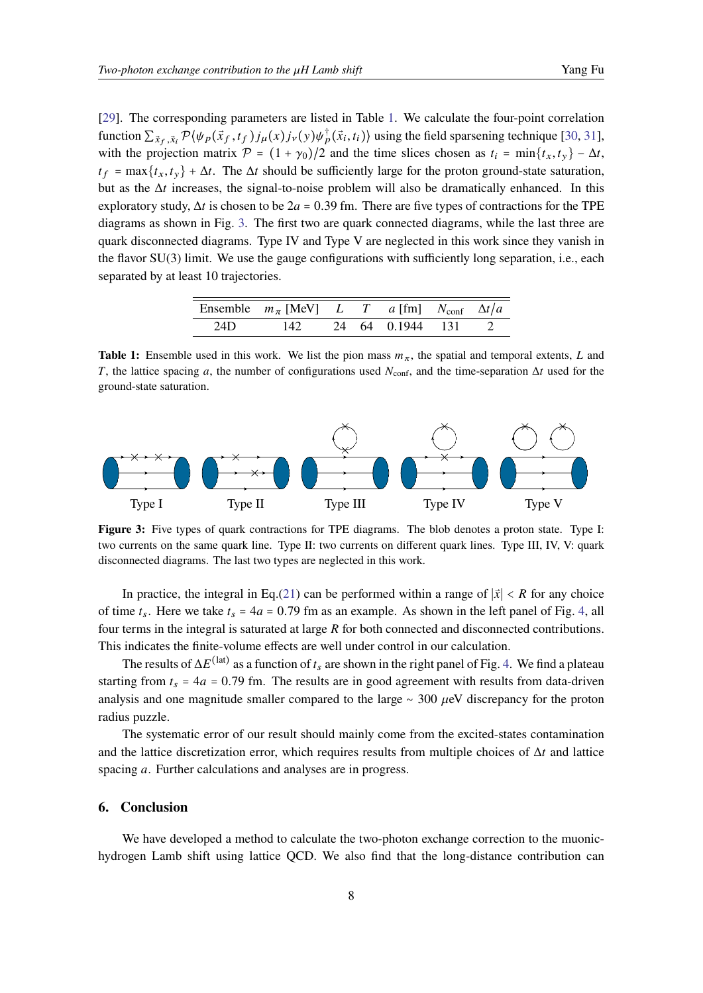[\[29\]](#page-10-7). The corresponding parameters are listed in Table [1.](#page-7-0) We calculate the four-point correlation function  $\sum_{\vec{x}_f, \vec{x}_i} \mathcal{P}(\psi_p(\vec{x}_f, t_f) j_\mu(x) j_\nu(y) \psi_p^\dagger(\vec{x}_i, t_i) )$  using the field sparsening technique [\[30,](#page-10-8) [31\]](#page-10-9), with the projection matrix  $\mathcal{P} = (1 + \gamma_0)/2$  and the time slices chosen as  $t_i = \min\{t_x, t_y\} - \Delta t$ ,  $t_f = \max\{t_x, t_y\} + \Delta t$ . The  $\Delta t$  should be sufficiently large for the proton ground-state saturation, but as the  $\Delta t$  increases, the signal-to-noise problem will also be dramatically enhanced. In this exploratory study,  $\Delta t$  is chosen to be 2a = 0.39 fm. There are five types of contractions for the TPE diagrams as shown in Fig. [3.](#page-7-1) The first two are quark connected diagrams, while the last three are quark disconnected diagrams. Type IV and Type V are neglected in this work since they vanish in the flavor SU(3) limit. We use the gauge configurations with sufficiently long separation, i.e., each

<span id="page-7-0"></span>separated by at least 10 trajectories.

| Ensemble $m_{\pi}$ [MeV] L T a [fm] $N_{\text{conf}}$ $\Delta t/a$ |  |  |  |
|--------------------------------------------------------------------|--|--|--|
| 24D 142 24 64 0.1944 131 2                                         |  |  |  |

**Table 1:** Ensemble used in this work. We list the pion mass  $m<sub>\pi</sub>$ , the spatial and temporal extents, L and T, the lattice spacing a, the number of configurations used  $N_{\text{conf}}$ , and the time-separation  $\Delta t$  used for the ground-state saturation.

<span id="page-7-1"></span>

**Figure 3:** Five types of quark contractions for TPE diagrams. The blob denotes a proton state. Type I: two currents on the same quark line. Type II: two currents on different quark lines. Type III, IV, V: quark disconnected diagrams. The last two types are neglected in this work.

In practice, the integral in Eq.[\(21\)](#page-4-1) can be performed within a range of  $|\vec{x}| < R$  for any choice of time  $t_s$ . Here we take  $t_s = 4a = 0.79$  fm as an example. As shown in the left panel of Fig. [4,](#page-8-6) all four terms in the integral is saturated at large  $R$  for both connected and disconnected contributions. This indicates the finite-volume effects are well under control in our calculation.

The results of  $\Delta E^{(\text{lat})}$  as a function of  $t_s$  are shown in the right panel of Fig. [4.](#page-8-6) We find a plateau starting from  $t_s = 4a = 0.79$  fm. The results are in good agreement with results from data-driven analysis and one magnitude smaller compared to the large  $~\sim$  300  $\mu$ eV discrepancy for the proton radius puzzle.

The systematic error of our result should mainly come from the excited-states contamination and the lattice discretization error, which requires results from multiple choices of  $\Delta t$  and lattice spacing  $a$ . Further calculations and analyses are in progress.

#### **6. Conclusion**

We have developed a method to calculate the two-photon exchange correction to the muonichydrogen Lamb shift using lattice QCD. We also find that the long-distance contribution can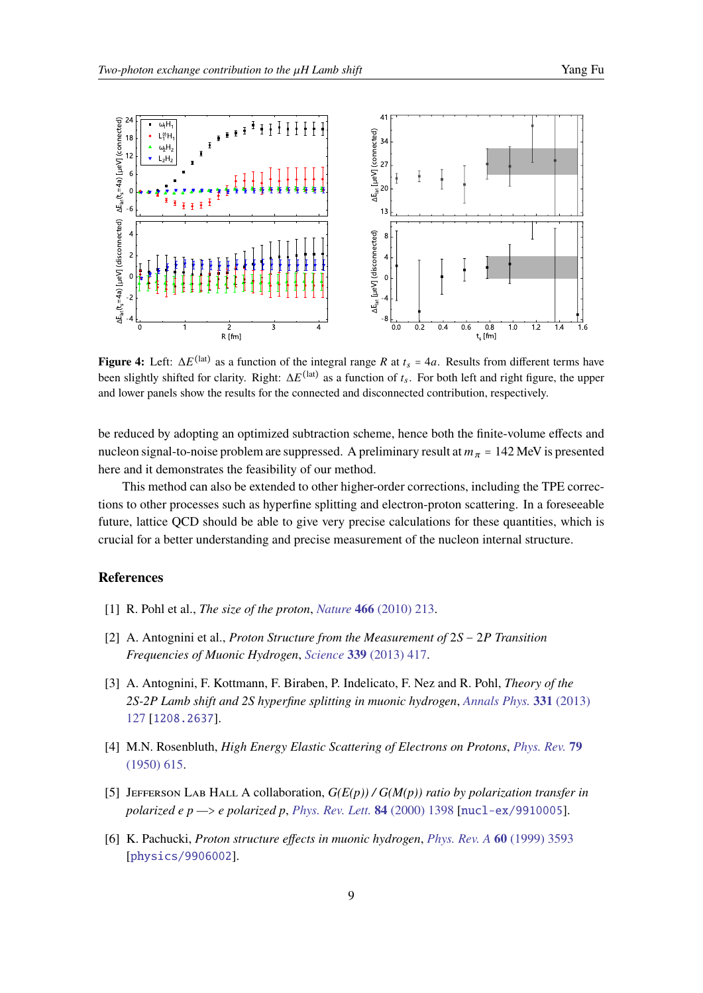<span id="page-8-6"></span>

**Figure 4:** Left:  $\Delta E^{(\text{lat})}$  as a function of the integral range R at  $t_s = 4a$ . Results from different terms have been slightly shifted for clarity. Right:  $\Delta E^{(\text{lat})}$  as a function of  $t_s$ . For both left and right figure, the upper and lower panels show the results for the connected and disconnected contribution, respectively.

be reduced by adopting an optimized subtraction scheme, hence both the finite-volume effects and nucleon signal-to-noise problem are suppressed. A preliminary result at  $m_{\pi}$  = 142 MeV is presented here and it demonstrates the feasibility of our method.

This method can also be extended to other higher-order corrections, including the TPE corrections to other processes such as hyperfine splitting and electron-proton scattering. In a foreseeable future, lattice QCD should be able to give very precise calculations for these quantities, which is crucial for a better understanding and precise measurement of the nucleon internal structure.

#### **References**

- <span id="page-8-0"></span>[1] R. Pohl et al., *The size of the proton*, *Nature* **466** [\(2010\) 213.](https://doi.org/10.1038/nature09250)
- <span id="page-8-1"></span>[2] A. Antognini et al., *Proton Structure from the Measurement of* 2S − 2P Transition *Frequencies of Muonic Hydrogen*, *Science* **339** [\(2013\) 417.](https://doi.org/10.1126/science.1230016)
- <span id="page-8-2"></span>[3] A. Antognini, F. Kottmann, F. Biraben, P. Indelicato, F. Nez and R. Pohl, *Theory of the 2S-2P Lamb shift and 2S hyperfine splitting in muonic hydrogen*, *[Annals Phys.](https://doi.org/10.1016/j.aop.2012.12.003)* **331** (2013) [127](https://doi.org/10.1016/j.aop.2012.12.003) [[1208.2637](https://arxiv.org/abs/1208.2637)].
- <span id="page-8-3"></span>[4] M.N. Rosenbluth, *High Energy Elastic Scattering of Electrons on Protons*, *[Phys. Rev.](https://doi.org/10.1103/PhysRev.79.615)* **79** [\(1950\) 615.](https://doi.org/10.1103/PhysRev.79.615)
- <span id="page-8-4"></span>[5] JEFFERSON LAB HALL A collaboration,  $G(E(p))/G(M(p))$  ratio by polarization transfer in *polarized e p —*> *e polarized p*, *[Phys. Rev. Lett.](https://doi.org/10.1103/PhysRevLett.84.1398)* **84** (2000) 1398 [[nucl-ex/9910005](https://arxiv.org/abs/nucl-ex/9910005)].
- <span id="page-8-5"></span>[6] K. Pachucki, *Proton structure effects in muonic hydrogen*, *[Phys. Rev. A](https://doi.org/10.1103/PhysRevA.60.3593)* **60** (1999) 3593 [[physics/9906002](https://arxiv.org/abs/physics/9906002)].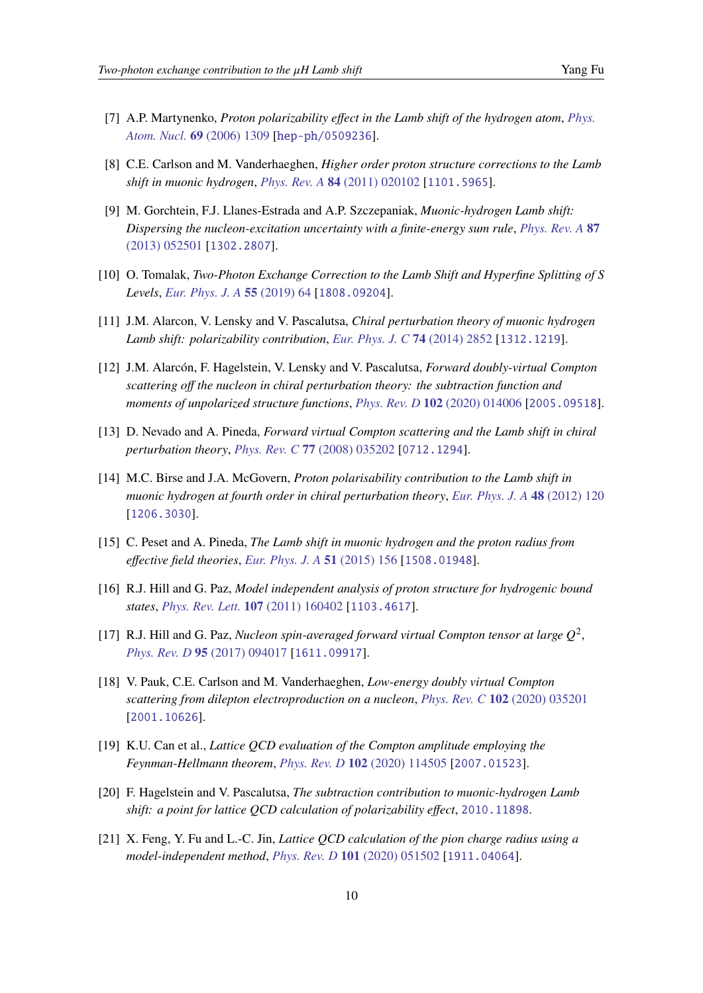- [7] A.P. Martynenko, *Proton polarizability effect in the Lamb shift of the hydrogen atom*, *[Phys.](https://doi.org/10.1134/S1063778806080072) [Atom. Nucl.](https://doi.org/10.1134/S1063778806080072)* **69** (2006) 1309 [[hep-ph/0509236](https://arxiv.org/abs/hep-ph/0509236)].
- <span id="page-9-8"></span>[8] C.E. Carlson and M. Vanderhaeghen, *Higher order proton structure corrections to the Lamb shift in muonic hydrogen*, *[Phys. Rev. A](https://doi.org/10.1103/PhysRevA.84.020102)* **84** (2011) 020102 [[1101.5965](https://arxiv.org/abs/1101.5965)].
- [9] M. Gorchtein, F.J. Llanes-Estrada and A.P. Szczepaniak, *Muonic-hydrogen Lamb shift: Dispersing the nucleon-excitation uncertainty with a finite-energy sum rule*, *[Phys. Rev. A](https://doi.org/10.1103/PhysRevA.87.052501)* **87** [\(2013\) 052501](https://doi.org/10.1103/PhysRevA.87.052501) [[1302.2807](https://arxiv.org/abs/1302.2807)].
- <span id="page-9-0"></span>[10] O. Tomalak, *Two-Photon Exchange Correction to the Lamb Shift and Hyperfine Splitting of S Levels*, *[Eur. Phys. J. A](https://doi.org/10.1140/epja/i2019-12743-1)* **55** (2019) 64 [[1808.09204](https://arxiv.org/abs/1808.09204)].
- <span id="page-9-1"></span>[11] J.M. Alarcon, V. Lensky and V. Pascalutsa, *Chiral perturbation theory of muonic hydrogen Lamb shift: polarizability contribution*, *[Eur. Phys. J. C](https://doi.org/10.1140/epjc/s10052-014-2852-0)* **74** (2014) 2852 [[1312.1219](https://arxiv.org/abs/1312.1219)].
- <span id="page-9-2"></span>[12] J.M. Alarcón, F. Hagelstein, V. Lensky and V. Pascalutsa, *Forward doubly-virtual Compton scattering off the nucleon in chiral perturbation theory: the subtraction function and moments of unpolarized structure functions*, *[Phys. Rev. D](https://doi.org/10.1103/PhysRevD.102.014006)* **102** (2020) 014006 [[2005.09518](https://arxiv.org/abs/2005.09518)].
- <span id="page-9-3"></span>[13] D. Nevado and A. Pineda, *Forward virtual Compton scattering and the Lamb shift in chiral perturbation theory*, *[Phys. Rev. C](https://doi.org/10.1103/PhysRevC.77.035202)* **77** (2008) 035202 [[0712.1294](https://arxiv.org/abs/0712.1294)].
- <span id="page-9-9"></span>[14] M.C. Birse and J.A. McGovern, *Proton polarisability contribution to the Lamb shift in muonic hydrogen at fourth order in chiral perturbation theory*, *[Eur. Phys. J. A](https://doi.org/10.1140/epja/i2012-12120-8)* **48** (2012) 120 [[1206.3030](https://arxiv.org/abs/1206.3030)].
- <span id="page-9-4"></span>[15] C. Peset and A. Pineda, *The Lamb shift in muonic hydrogen and the proton radius from effective field theories*, *[Eur. Phys. J. A](https://doi.org/10.1140/epja/i2015-15156-2)* **51** (2015) 156 [[1508.01948](https://arxiv.org/abs/1508.01948)].
- <span id="page-9-5"></span>[16] R.J. Hill and G. Paz, *Model independent analysis of proton structure for hydrogenic bound states*, *[Phys. Rev. Lett.](https://doi.org/10.1103/PhysRevLett.107.160402)* **107** (2011) 160402 [[1103.4617](https://arxiv.org/abs/1103.4617)].
- <span id="page-9-6"></span>[17] R.J. Hill and G. Paz, *Nucleon spin-averaged forward virtual Compton tensor at large*  $Q^2$ , *[Phys. Rev. D](https://doi.org/10.1103/PhysRevD.95.094017)* **95** (2017) 094017 [[1611.09917](https://arxiv.org/abs/1611.09917)].
- <span id="page-9-7"></span>[18] V. Pauk, C.E. Carlson and M. Vanderhaeghen, *Low-energy doubly virtual Compton scattering from dilepton electroproduction on a nucleon*, *[Phys. Rev. C](https://doi.org/10.1103/PhysRevC.102.035201)* **102** (2020) 035201 [[2001.10626](https://arxiv.org/abs/2001.10626)].
- <span id="page-9-10"></span>[19] K.U. Can et al., *Lattice QCD evaluation of the Compton amplitude employing the Feynman-Hellmann theorem*, *[Phys. Rev. D](https://doi.org/10.1103/PhysRevD.102.114505)* **102** (2020) 114505 [[2007.01523](https://arxiv.org/abs/2007.01523)].
- <span id="page-9-11"></span>[20] F. Hagelstein and V. Pascalutsa, *The subtraction contribution to muonic-hydrogen Lamb shift: a point for lattice QCD calculation of polarizability effect*, [2010.11898](https://arxiv.org/abs/2010.11898).
- <span id="page-9-12"></span>[21] X. Feng, Y. Fu and L.-C. Jin, *Lattice QCD calculation of the pion charge radius using a model-independent method*, *[Phys. Rev. D](https://doi.org/10.1103/PhysRevD.101.051502)* **101** (2020) 051502 [[1911.04064](https://arxiv.org/abs/1911.04064)].